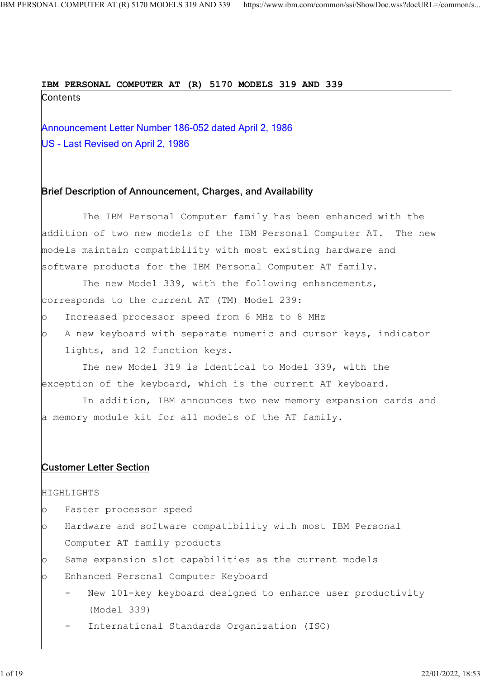### IBM PERSONAL COMPUTER AT (R) 5170 MODELS 319 AND 339

NAL COMPUTER AT (R) 5170 MODELS 319 AND 339 https://www.ibm.com/common/ssi/ShowDoc.wss?decURL=/common/s<br> **IBM PERSONAL COMPUTER AT (R) 5170 MODELS 319 AND 339**<br>
Contents<br>
Announcement Letter Number 186-052 dated April 2, 1 US - Last Revised on April 2, 1986

## Brief Description of Announcement, Charges, and Availability

 The IBM Personal Computer family has been enhanced with the addition of two new models of the IBM Personal Computer AT. The new models maintain compatibility with most existing hardware and software products for the IBM Personal Computer AT family.

The new Model 339, with the following enhancements, corresponds to the current AT (TM) Model 239:

- o Increased processor speed from 6 MHz to 8 MHz
- $\vert$ o A new keyboard with separate numeric and cursor keys, indicator lights, and 12 function keys.

 The new Model 319 is identical to Model 339, with the exception of the keyboard, which is the current AT keyboard.

 In addition, IBM announces two new memory expansion cards and a memory module kit for all models of the AT family.

# Customer Letter Section

#### HIGHLIGHTS

- o Faster processor speed
- $\circ$  Hardware and software compatibility with most IBM Personal Computer AT family products
- $\circ$  Same expansion slot capabilities as the current models
- o Enhanced Personal Computer Keyboard
	- New 101-key keyboard designed to enhance user productivity (Model 339)
	- International Standards Organization (ISO)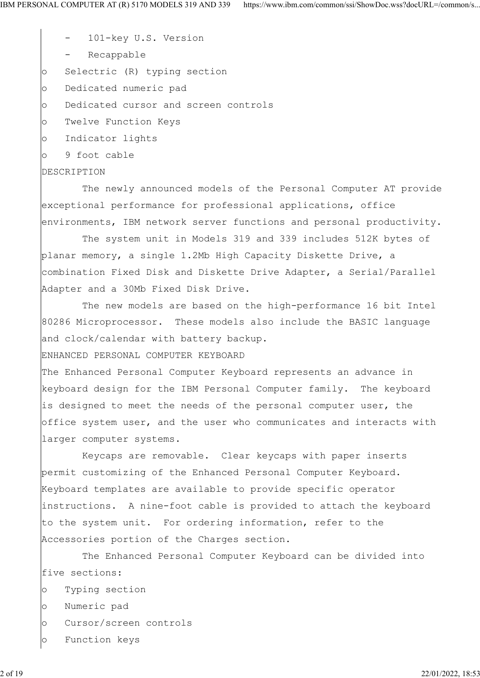- 101-key U.S. Version

- Recappable

o Selectric (R) typing section

o Dedicated numeric pad

o Dedicated cursor and screen controls

o Twelve Function Keys

o Indicator lights

o 9 foot cable

#### DESCRIPTION

 The newly announced models of the Personal Computer AT provide exceptional performance for professional applications, office environments, IBM network server functions and personal productivity.

 The system unit in Models 319 and 339 includes 512K bytes of planar memory, a single 1.2Mb High Capacity Diskette Drive, a combination Fixed Disk and Diskette Drive Adapter, a Serial/Parallel Adapter and a 30Mb Fixed Disk Drive.

 The new models are based on the high-performance 16 bit Intel 80286 Microprocessor. These models also include the BASIC language and clock/calendar with battery backup.

ENHANCED PERSONAL COMPUTER KEYBOARD

The Enhanced Personal Computer Keyboard represents an advance in keyboard design for the IBM Personal Computer family. The keyboard is designed to meet the needs of the personal computer user, the office system user, and the user who communicates and interacts with larger computer systems.

 Keycaps are removable. Clear keycaps with paper inserts permit customizing of the Enhanced Personal Computer Keyboard. Keyboard templates are available to provide specific operator instructions. A nine-foot cable is provided to attach the keyboard to the system unit. For ordering information, refer to the Accessories portion of the Charges section.

 The Enhanced Personal Computer Keyboard can be divided into five sections:

- o Typing section
- o Numeric pad
- o Cursor/screen controls
- o Function keys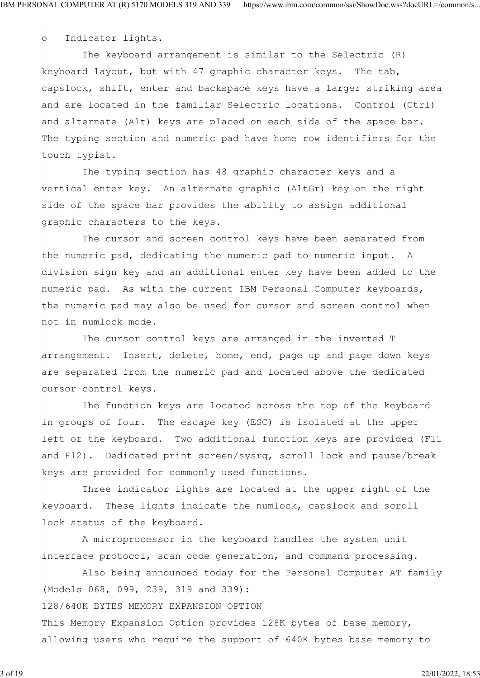o Indicator lights.

 The keyboard arrangement is similar to the Selectric (R) keyboard layout, but with 47 graphic character keys. The tab, capslock, shift, enter and backspace keys have a larger striking area and are located in the familiar Selectric locations. Control (Ctrl) and alternate (Alt) keys are placed on each side of the space bar. The typing section and numeric pad have home row identifiers for the touch typist.

 The typing section has 48 graphic character keys and a vertical enter key. An alternate graphic (AltGr) key on the right side of the space bar provides the ability to assign additional graphic characters to the keys.

 The cursor and screen control keys have been separated from the numeric pad, dedicating the numeric pad to numeric input. A division sign key and an additional enter key have been added to the numeric pad. As with the current IBM Personal Computer keyboards, the numeric pad may also be used for cursor and screen control when not in numlock mode.

 The cursor control keys are arranged in the inverted T arrangement. Insert, delete, home, end, page up and page down keys are separated from the numeric pad and located above the dedicated cursor control keys.

 The function keys are located across the top of the keyboard in groups of four. The escape key (ESC) is isolated at the upper left of the keyboard. Two additional function keys are provided (F11 and F12). Dedicated print screen/sysrq, scroll lock and pause/break keys are provided for commonly used functions.

 Three indicator lights are located at the upper right of the keyboard. These lights indicate the numlock, capslock and scroll lock status of the keyboard.

 A microprocessor in the keyboard handles the system unit interface protocol, scan code generation, and command processing.

 Also being announced today for the Personal Computer AT family (Models 068, 099, 239, 319 and 339):

128/640K BYTES MEMORY EXPANSION OPTION

This Memory Expansion Option provides 128K bytes of base memory, allowing users who require the support of 640K bytes base memory to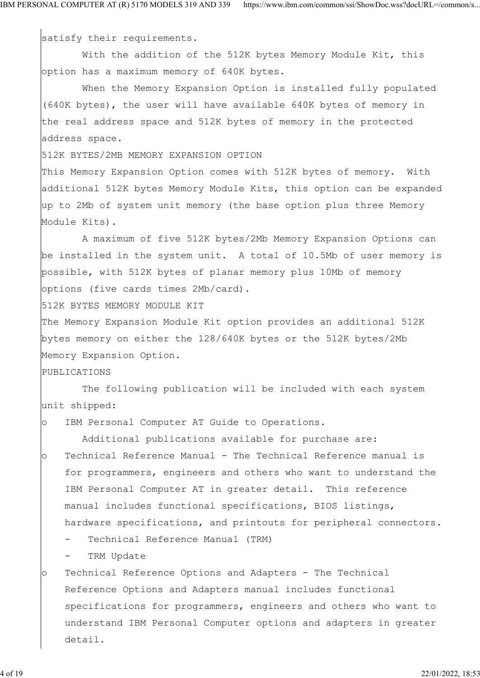satisfy their requirements.

 With the addition of the 512K bytes Memory Module Kit, this option has a maximum memory of 640K bytes.

 When the Memory Expansion Option is installed fully populated (640K bytes), the user will have available 640K bytes of memory in the real address space and 512K bytes of memory in the protected address space.

512K BYTES/2MB MEMORY EXPANSION OPTION

This Memory Expansion Option comes with 512K bytes of memory. With additional 512K bytes Memory Module Kits, this option can be expanded up to 2Mb of system unit memory (the base option plus three Memory Module Kits).

 A maximum of five 512K bytes/2Mb Memory Expansion Options can be installed in the system unit. A total of 10.5Mb of user memory is possible, with 512K bytes of planar memory plus 10Mb of memory options (five cards times 2Mb/card).

512K BYTES MEMORY MODULE KIT

The Memory Expansion Module Kit option provides an additional 512K bytes memory on either the 128/640K bytes or the 512K bytes/2Mb Memory Expansion Option.

PUBLICATIONS

 The following publication will be included with each system unit shipped:

o IBM Personal Computer AT Guide to Operations.

Additional publications available for purchase are:

o Technical Reference Manual - The Technical Reference manual is for programmers, engineers and others who want to understand the IBM Personal Computer AT in greater detail. This reference manual includes functional specifications, BIOS listings, hardware specifications, and printouts for peripheral connectors.

Technical Reference Manual (TRM)

TRM Update

o Technical Reference Options and Adapters - The Technical Reference Options and Adapters manual includes functional specifications for programmers, engineers and others who want to understand IBM Personal Computer options and adapters in greater detail.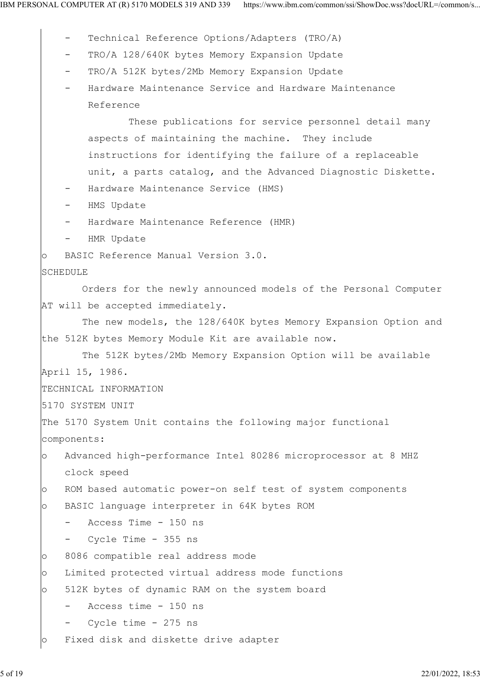- Technical Reference Options/Adapters (TRO/A)
- TRO/A 128/640K bytes Memory Expansion Update
- TRO/A 512K bytes/2Mb Memory Expansion Update
- Hardware Maintenance Service and Hardware Maintenance Reference

 These publications for service personnel detail many aspects of maintaining the machine. They include instructions for identifying the failure of a replaceable unit, a parts catalog, and the Advanced Diagnostic Diskette.

- Hardware Maintenance Service (HMS)
- HMS Update
- Hardware Maintenance Reference (HMR)
- HMR Update
- o BASIC Reference Manual Version 3.0.

#### SCHEDULE

 Orders for the newly announced models of the Personal Computer AT will be accepted immediately.

 The new models, the 128/640K bytes Memory Expansion Option and the 512K bytes Memory Module Kit are available now.

```
 The 512K bytes/2Mb Memory Expansion Option will be available
April 15, 1986.
TECHNICAL INFORMATION
```
5170 SYSTEM UNIT

```
The 5170 System Unit contains the following major functional
components:
```

```
o Advanced high-performance Intel 80286 microprocessor at 8 MHZ
    clock speed
```

```
o ROM based automatic power-on self test of system components
```

```
o BASIC language interpreter in 64K bytes ROM
```

```
 - Access Time - 150 ns
```
- Cycle Time - 355 ns

o 8086 compatible real address mode

o Limited protected virtual address mode functions

o 512K bytes of dynamic RAM on the system board

```
 - Access time - 150 ns
```

```
Cycle time - 275 ns
```
o Fixed disk and diskette drive adapter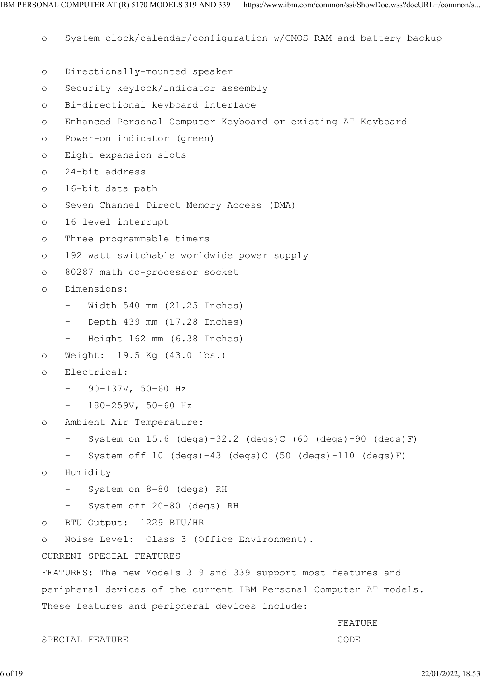o System clock/calendar/configuration w/CMOS RAM and battery backup o Directionally-mounted speaker o Security keylock/indicator assembly o Bi-directional keyboard interface o Enhanced Personal Computer Keyboard or existing AT Keyboard o Power-on indicator (green) o Eight expansion slots o 24-bit address o 16-bit data path o Seven Channel Direct Memory Access (DMA) o 16 level interrupt o Three programmable timers o 192 watt switchable worldwide power supply o 80287 math co-processor socket o Dimensions: Width 540 mm (21.25 Inches) Depth 439 mm (17.28 Inches) Height 162 mm (6.38 Inches) o Weight: 19.5 Kg (43.0 lbs.) o Electrical: 90-137V, 50-60 Hz - 180-259V, 50-60 Hz o Ambient Air Temperature: System on  $15.6$  (degs)-32.2 (degs)C (60 (degs)-90 (degs)F) System off 10 (degs)-43 (degs)C (50 (degs)-110 (degs)F) o Humidity System on 8-80 (degs) RH System off 20-80 (degs) RH o BTU Output: 1229 BTU/HR o Noise Level: Class 3 (Office Environment). CURRENT SPECIAL FEATURES FEATURES: The new Models 319 and 339 support most features and peripheral devices of the current IBM Personal Computer AT models. These features and peripheral devices include: FEATURE **FEATURE** SPECIAL FEATURE **CODE**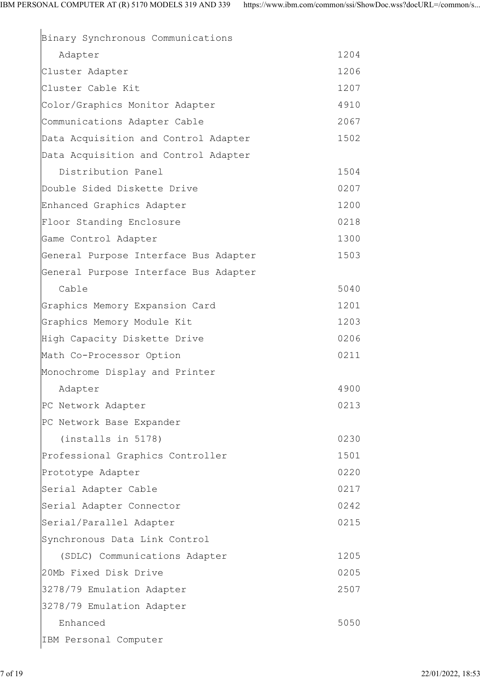| Binary Synchronous Communications     |      |
|---------------------------------------|------|
| Adapter                               | 1204 |
| Cluster Adapter                       | 1206 |
| Cluster Cable Kit                     | 1207 |
| Color/Graphics Monitor Adapter        | 4910 |
| Communications Adapter Cable          | 2067 |
| Data Acquisition and Control Adapter  | 1502 |
| Data Acquisition and Control Adapter  |      |
| Distribution Panel                    | 1504 |
| Double Sided Diskette Drive           | 0207 |
| Enhanced Graphics Adapter             | 1200 |
| Floor Standing Enclosure              | 0218 |
| Game Control Adapter                  | 1300 |
| General Purpose Interface Bus Adapter | 1503 |
| General Purpose Interface Bus Adapter |      |
| Cable                                 | 5040 |
| Graphics Memory Expansion Card        | 1201 |
| Graphics Memory Module Kit            | 1203 |
| High Capacity Diskette Drive          | 0206 |
| Math Co-Processor Option              | 0211 |
| Monochrome Display and Printer        |      |
| Adapter                               | 4900 |
| PC Network Adapter                    | 0213 |
| PC Network Base Expander              |      |
| (installs in 5178)                    | 0230 |
| Professional Graphics Controller      | 1501 |
| Prototype Adapter                     | 0220 |
| Serial Adapter Cable                  | 0217 |
| Serial Adapter Connector              | 0242 |
| Serial/Parallel Adapter               | 0215 |
| Synchronous Data Link Control         |      |
| (SDLC) Communications Adapter         | 1205 |
| 20Mb Fixed Disk Drive                 | 0205 |
| 3278/79 Emulation Adapter             | 2507 |
| 3278/79 Emulation Adapter             |      |
| Enhanced                              | 5050 |
| IBM Personal Computer                 |      |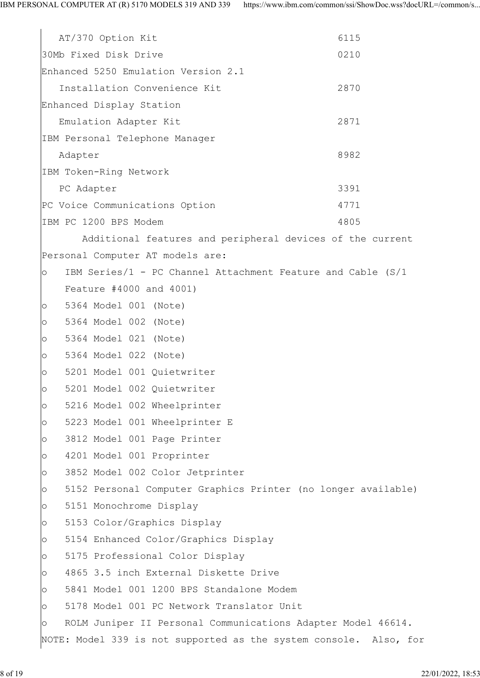AT/370 Option Kit 6115 30Mb Fixed Disk Drive 0210 Enhanced 5250 Emulation Version 2.1 Installation Convenience Kit 2870 Enhanced Display Station Emulation Adapter Kit 2871 IBM Personal Telephone Manager Adapter 8982 IBM Token-Ring Network PC Adapter 3391 PC Voice Communications Option 4771 IBM PC 1200 BPS Modem 4805 Additional features and peripheral devices of the current Personal Computer AT models are:  $\circ$  IBM Series/1 - PC Channel Attachment Feature and Cable (S/1 Feature #4000 and 4001) o 5364 Model 001 (Note) o 5364 Model 002 (Note) o 5364 Model 021 (Note) o 5364 Model 022 (Note) o 5201 Model 001 Quietwriter o 5201 Model 002 Quietwriter o 5216 Model 002 Wheelprinter o 5223 Model 001 Wheelprinter E o 3812 Model 001 Page Printer o 4201 Model 001 Proprinter o 3852 Model 002 Color Jetprinter o 5152 Personal Computer Graphics Printer (no longer available) o 5151 Monochrome Display o 5153 Color/Graphics Display o 5154 Enhanced Color/Graphics Display o 5175 Professional Color Display o 4865 3.5 inch External Diskette Drive o 5841 Model 001 1200 BPS Standalone Modem o 5178 Model 001 PC Network Translator Unit o ROLM Juniper II Personal Communications Adapter Model 46614. NOTE: Model 339 is not supported as the system console. Also, for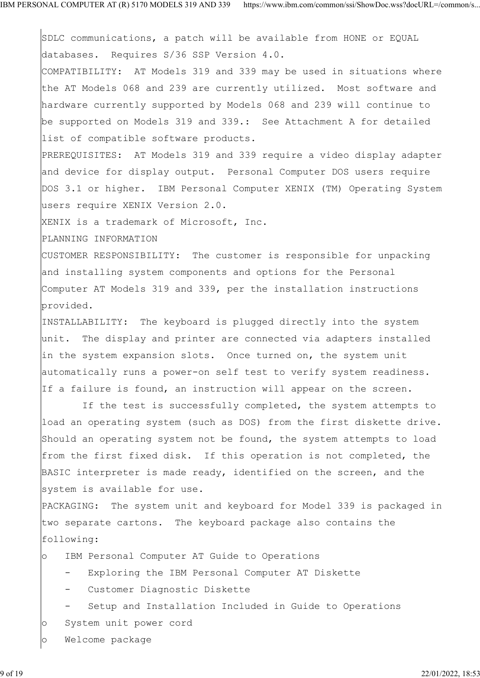SDLC communications, a patch will be available from HONE or EQUAL databases. Requires S/36 SSP Version 4.0.

COMPATIBILITY: AT Models 319 and 339 may be used in situations where the AT Models 068 and 239 are currently utilized. Most software and hardware currently supported by Models 068 and 239 will continue to be supported on Models 319 and 339.: See Attachment A for detailed list of compatible software products.

PREREQUISITES: AT Models 319 and 339 require a video display adapter and device for display output. Personal Computer DOS users require DOS 3.1 or higher. IBM Personal Computer XENIX (TM) Operating System users require XENIX Version 2.0.

XENIX is a trademark of Microsoft, Inc.

PLANNING INFORMATION

CUSTOMER RESPONSIBILITY: The customer is responsible for unpacking and installing system components and options for the Personal Computer AT Models 319 and 339, per the installation instructions provided.

INSTALLABILITY: The keyboard is plugged directly into the system unit. The display and printer are connected via adapters installed in the system expansion slots. Once turned on, the system unit automatically runs a power-on self test to verify system readiness. If a failure is found, an instruction will appear on the screen.

 If the test is successfully completed, the system attempts to load an operating system (such as DOS) from the first diskette drive. Should an operating system not be found, the system attempts to load from the first fixed disk. If this operation is not completed, the BASIC interpreter is made ready, identified on the screen, and the system is available for use.

PACKAGING: The system unit and keyboard for Model 339 is packaged in two separate cartons. The keyboard package also contains the following:

o IBM Personal Computer AT Guide to Operations

- Exploring the IBM Personal Computer AT Diskette

- Customer Diagnostic Diskette
- Setup and Installation Included in Guide to Operations
- o System unit power cord
- o Welcome package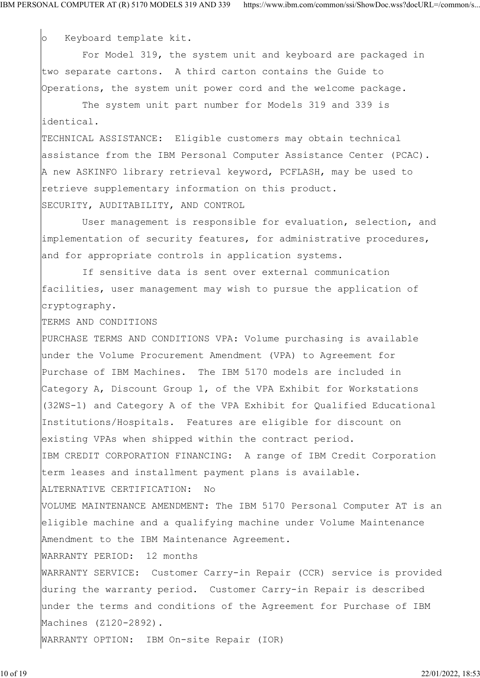o Keyboard template kit.

 For Model 319, the system unit and keyboard are packaged in two separate cartons. A third carton contains the Guide to Operations, the system unit power cord and the welcome package.

 The system unit part number for Models 319 and 339 is identical.

TECHNICAL ASSISTANCE: Eligible customers may obtain technical assistance from the IBM Personal Computer Assistance Center (PCAC). A new ASKINFO library retrieval keyword, PCFLASH, may be used to retrieve supplementary information on this product. SECURITY, AUDITABILITY, AND CONTROL

 User management is responsible for evaluation, selection, and implementation of security features, for administrative procedures, and for appropriate controls in application systems.

 If sensitive data is sent over external communication facilities, user management may wish to pursue the application of cryptography.

TERMS AND CONDITIONS

PURCHASE TERMS AND CONDITIONS VPA: Volume purchasing is available under the Volume Procurement Amendment (VPA) to Agreement for Purchase of IBM Machines. The IBM 5170 models are included in Category A, Discount Group 1, of the VPA Exhibit for Workstations (32WS-1) and Category A of the VPA Exhibit for Qualified Educational Institutions/Hospitals. Features are eligible for discount on existing VPAs when shipped within the contract period. IBM CREDIT CORPORATION FINANCING: A range of IBM Credit Corporation term leases and installment payment plans is available. ALTERNATIVE CERTIFICATION: No VOLUME MAINTENANCE AMENDMENT: The IBM 5170 Personal Computer AT is an eligible machine and a qualifying machine under Volume Maintenance Amendment to the IBM Maintenance Agreement. WARRANTY PERIOD: 12 months WARRANTY SERVICE: Customer Carry-in Repair (CCR) service is provided during the warranty period. Customer Carry-in Repair is described under the terms and conditions of the Agreement for Purchase of IBM Machines (Z120-2892). WARRANTY OPTION: IBM On-site Repair (IOR)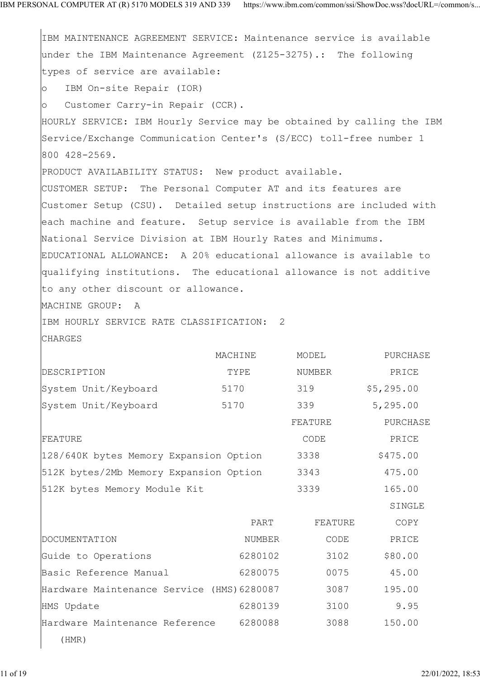IBM MAINTENANCE AGREEMENT SERVICE: Maintenance service is available under the IBM Maintenance Agreement (Z125-3275).: The following types of service are available: o IBM On-site Repair (IOR) o Customer Carry-in Repair (CCR). HOURLY SERVICE: IBM Hourly Service may be obtained by calling the IBM Service/Exchange Communication Center's (S/ECC) toll-free number 1 800 428-2569. PRODUCT AVAILABILITY STATUS: New product available. CUSTOMER SETUP: The Personal Computer AT and its features are Customer Setup (CSU). Detailed setup instructions are included with each machine and feature. Setup service is available from the IBM National Service Division at IBM Hourly Rates and Minimums. EDUCATIONAL ALLOWANCE: A 20% educational allowance is available to qualifying institutions. The educational allowance is not additive to any other discount or allowance. MACHINE GROUP: A IBM HOURLY SERVICE RATE CLASSIFICATION: 2 CHARGES MACHINE MODEL PURCHASE DESCRIPTION TYPE NUMBER PRICE System Unit/Keyboard 5170 319 \$5,295.00 System Unit/Keyboard 5170 339 5,295.00 FEATURE PURCHASE FEATURE **FEATURE FEATURE** 128/640K bytes Memory Expansion Option 3338 \$475.00 512K bytes/2Mb Memory Expansion Option 3343 475.00 512K bytes Memory Module Kit 3339 165.00 SINGLE PART FEATURE COPY DOCUMENTATION NUMBER CODE PRICE Guide to Operations 6280102 3102 \$80.00 Basic Reference Manual 6280075 0075 45.00 Hardware Maintenance Service (HMS)6280087 3087 195.00 HMS Update 6280139 3100 9.95 Hardware Maintenance Reference 6280088 3088 150.00 (HMR)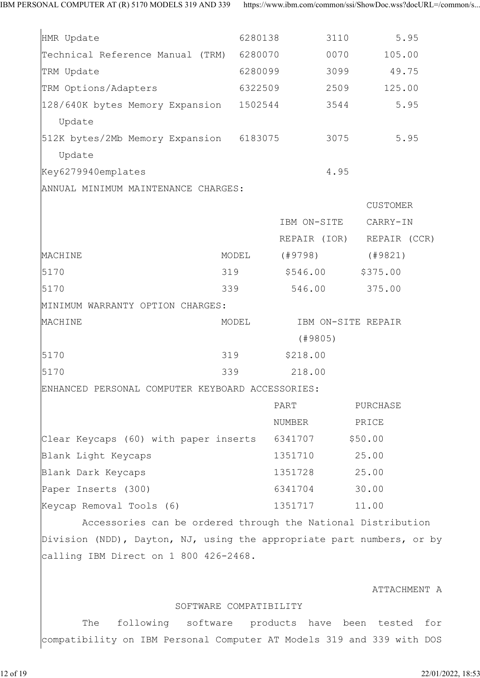| HMR Update                                                            |                        | 6280138  | 3110         | 5.95               |
|-----------------------------------------------------------------------|------------------------|----------|--------------|--------------------|
| Technical Reference Manual (TRM) 6280070                              |                        |          | 0070         | 105.00             |
| TRM Update                                                            | 6280099                |          | 3099         | 49.75              |
| TRM Options/Adapters                                                  | 6322509                |          | 2509         | 125.00             |
| 128/640K bytes Memory Expansion 1502544<br>Update                     |                        |          | 3544         | 5.95               |
| 512K bytes/2Mb Memory Expansion 6183075<br>Update                     |                        |          | 3075         | 5.95               |
| Key6279940emplates                                                    |                        |          | 4.95         |                    |
| ANNUAL MINIMUM MAINTENANCE CHARGES:                                   |                        |          |              |                    |
|                                                                       |                        |          |              | CUSTOMER           |
|                                                                       |                        |          | IBM ON-SITE  | CARRY-IN           |
|                                                                       |                        |          | REPAIR (IOR) | REPAIR (CCR)       |
| MACHINE                                                               | MODEL                  |          | (#9798)      | (#9821)            |
| 5170                                                                  | 319                    |          | \$546.00     | \$375.00           |
| 5170                                                                  | 339                    |          | 546.00       | 375.00             |
| MINIMUM WARRANTY OPTION CHARGES:                                      |                        |          |              |                    |
| MACHINE                                                               | MODEL                  |          |              | IBM ON-SITE REPAIR |
|                                                                       |                        |          | (49805)      |                    |
| 5170                                                                  | 319                    | \$218.00 |              |                    |
| 5170                                                                  | 339                    |          | 218.00       |                    |
| ENHANCED PERSONAL COMPUTER KEYBOARD ACCESSORIES:                      |                        |          |              |                    |
|                                                                       |                        | PART     |              | PURCHASE           |
|                                                                       |                        | NUMBER   |              | PRICE              |
| Clear Keycaps (60) with paper inserts 6341707                         |                        |          |              | \$50.00            |
| Blank Light Keycaps                                                   |                        | 1351710  |              | 25.00              |
| Blank Dark Keycaps                                                    |                        | 1351728  |              | 25.00              |
| Paper Inserts (300)                                                   |                        | 6341704  |              | 30.00              |
| Keycap Removal Tools (6)                                              |                        | 1351717  |              | 11.00              |
| Accessories can be ordered through the National Distribution          |                        |          |              |                    |
| Division (NDD), Dayton, NJ, using the appropriate part numbers, or by |                        |          |              |                    |
| calling IBM Direct on 1 800 426-2468.                                 |                        |          |              |                    |
|                                                                       |                        |          |              | ATTACHMENT A       |
|                                                                       | SOFTWARE COMPATIBILITY |          |              |                    |

 The following software products have been tested for compatibility on IBM Personal Computer AT Models 319 and 339 with DOS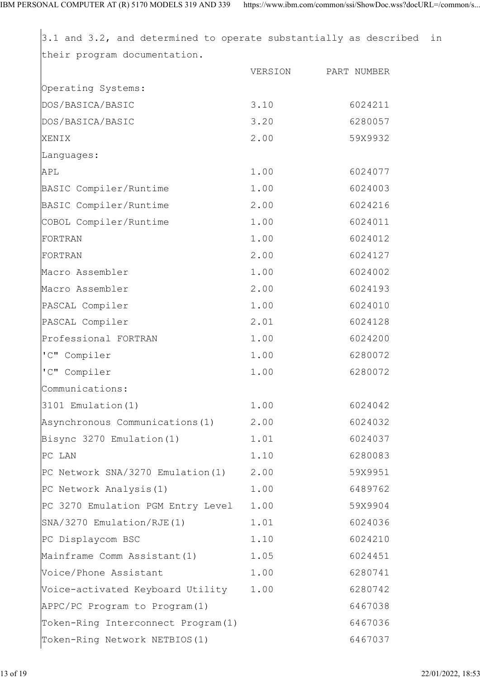3.1 and 3.2, and determined to operate substantially as described in their program documentation. VERSION PART NUMBER Operating Systems: DOS/BASICA/BASIC 3.10 6024211 DOS/BASICA/BASIC 3.20 6280057 XENIX 2.00 59X9932 Languages: APL 2.00 6024077 BASIC Compiler/Runtime 1.00 6024003 BASIC Compiler/Runtime 2.00 6024216 COBOL Compiler/Runtime 1.00 6024011 FORTRAN 1.00 6024012 FORTRAN 2.00 6024127 Macro Assembler 1.00 6024002 Macro Assembler 2.00 6024193 PASCAL Compiler 1.00 6024010 PASCAL Compiler 2.01 6024128 Professional FORTRAN 1.00 6024200 'C" Compiler 1.00 6280072 'C" Compiler 1.00 6280072 Communications: 3101 Emulation(1) 1.00 6024042 Asynchronous Communications(1) 2.00 6024032 Bisync 3270 Emulation(1) 1.01 6024037 PC LAN 1.10 6280083 PC Network SNA/3270 Emulation(1) 2.00 59X9951 PC Network Analysis(1) 1.00 6489762 PC 3270 Emulation PGM Entry Level 1.00 59X9904 SNA/3270 Emulation/RJE(1) 1.01 6024036 PC Displaycom BSC 1.10 6024210 Mainframe Comm Assistant(1) 1.05 6024451 Voice/Phone Assistant 1.00 6280741 Voice-activated Keyboard Utility 1.00 6280742 APPC/PC Program to Program(1) 6467038 Token-Ring Interconnect Program(1) 6467036 Token-Ring Network NETBIOS(1) 6467037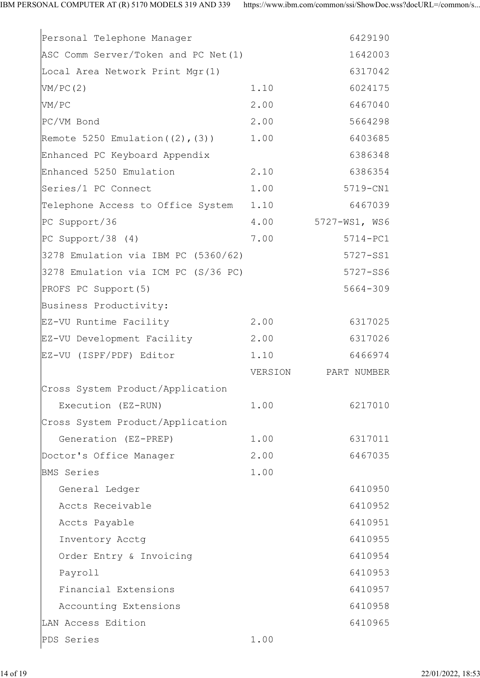| Personal Telephone Manager                 |         | 6429190            |  |
|--------------------------------------------|---------|--------------------|--|
| ASC Comm Server/Token and PC Net(1)        |         | 1642003            |  |
| Local Area Network Print Mgr(1)            |         | 6317042            |  |
| VM/PC(2)                                   | 1.10    | 6024175            |  |
| VM/PC                                      | 2.00    | 6467040            |  |
| PC/VM Bond                                 | 2.00    | 5664298            |  |
| Remote 5250 Emulation $(2)$ , $(3)$ ) 1.00 |         | 6403685            |  |
| Enhanced PC Keyboard Appendix              |         | 6386348            |  |
| Enhanced 5250 Emulation                    | 2.10    | 6386354            |  |
| Series/1 PC Connect                        | 1.00    | 5719-CN1           |  |
| Telephone Access to Office System 1.10     |         | 6467039            |  |
| PC Support/36                              |         | 4.00 5727-WS1, WS6 |  |
| PC Support/38 $(4)$                        | 7.00    | 5714-PC1           |  |
| $3278$ Emulation via IBM PC $(5360/62)$    |         | 5727-SS1           |  |
| 3278 Emulation via ICM PC (S/36 PC)        |         | 5727-SS6           |  |
| PROFS PC Support (5)                       |         | $5664 - 309$       |  |
| Business Productivity:                     |         |                    |  |
| EZ-VU Runtime Facility 2.00                |         | 6317025            |  |
| EZ-VU Development Facility 2.00            |         | 6317026            |  |
|                                            |         |                    |  |
| EZ-VU (ISPF/PDF) Editor                    | 1.10    | 6466974            |  |
|                                            | VERSION | PART NUMBER        |  |
| Cross System Product/Application           |         |                    |  |
| Execution (EZ-RUN)                         | 1.00    | 6217010            |  |
| Cross System Product/Application           |         |                    |  |
| Generation (EZ-PREP)                       | 1.00    | 6317011            |  |
| Doctor's Office Manager                    | 2.00    | 6467035            |  |
| <b>BMS</b> Series                          | 1.00    |                    |  |
| General Ledger                             |         | 6410950            |  |
| Accts Receivable                           |         | 6410952            |  |
| Accts Payable                              |         | 6410951            |  |
| Inventory Acctg                            |         | 6410955            |  |
| Order Entry & Invoicing                    |         | 6410954            |  |
| Payroll                                    |         | 6410953            |  |
| Financial Extensions                       |         | 6410957            |  |
| Accounting Extensions                      |         | 6410958            |  |
| LAN Access Edition                         |         | 6410965            |  |
| PDS Series                                 | 1.00    |                    |  |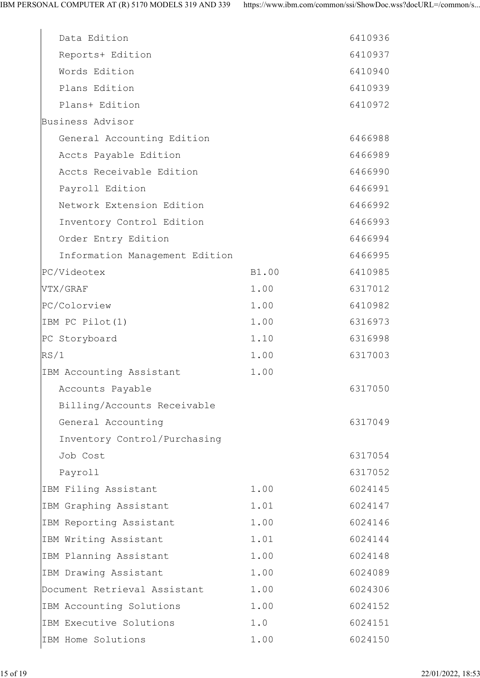| Data Edition                   |       | 6410936 |  |
|--------------------------------|-------|---------|--|
| Reports+ Edition               |       | 6410937 |  |
| Words Edition                  |       | 6410940 |  |
| Plans Edition                  |       | 6410939 |  |
| Plans+ Edition                 |       | 6410972 |  |
| Business Advisor               |       |         |  |
| General Accounting Edition     |       | 6466988 |  |
| Accts Payable Edition          |       | 6466989 |  |
| Accts Receivable Edition       |       | 6466990 |  |
| Payroll Edition                |       | 6466991 |  |
| Network Extension Edition      |       | 6466992 |  |
| Inventory Control Edition      |       | 6466993 |  |
| Order Entry Edition            |       | 6466994 |  |
| Information Management Edition |       | 6466995 |  |
| PC/Videotex                    | B1.00 | 6410985 |  |
| VTX/GRAF                       | 1.00  | 6317012 |  |
| PC/Colorview                   | 1.00  | 6410982 |  |
| IBM PC Pilot(1)                | 1.00  | 6316973 |  |
| PC Storyboard                  | 1.10  | 6316998 |  |
| RS/1                           | 1.00  | 6317003 |  |
| IBM Accounting Assistant       | 1.00  |         |  |
| Accounts Payable               |       | 6317050 |  |
| Billing/Accounts Receivable    |       |         |  |
| General Accounting             |       | 6317049 |  |
| Inventory Control/Purchasing   |       |         |  |
| Job Cost                       |       | 6317054 |  |
| Payroll                        |       | 6317052 |  |
| IBM Filing Assistant           | 1.00  | 6024145 |  |
| IBM Graphing Assistant         | 1.01  | 6024147 |  |
| IBM Reporting Assistant        | 1.00  | 6024146 |  |
| IBM Writing Assistant          | 1.01  | 6024144 |  |
| IBM Planning Assistant         | 1.00  | 6024148 |  |
| IBM Drawing Assistant          | 1.00  | 6024089 |  |
| Document Retrieval Assistant   | 1.00  | 6024306 |  |
| IBM Accounting Solutions       | 1.00  | 6024152 |  |
| IBM Executive Solutions        | 1.0   | 6024151 |  |
| IBM Home Solutions             | 1.00  | 6024150 |  |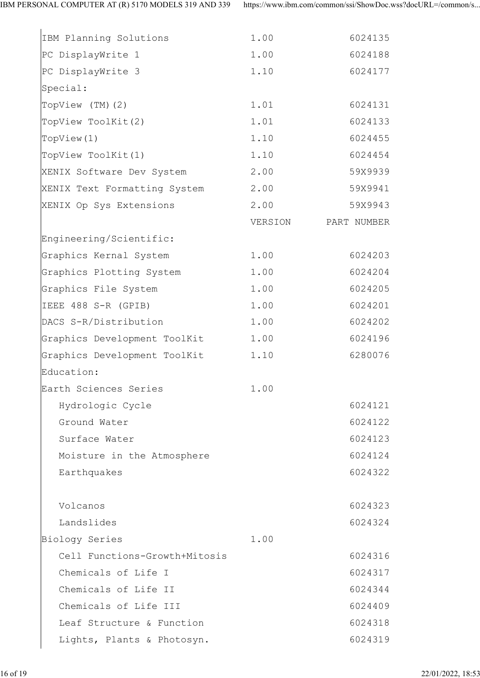| IBM Planning Solutions            | 1.00    | 6024135     |  |
|-----------------------------------|---------|-------------|--|
| PC DisplayWrite 1                 | 1.00    | 6024188     |  |
| PC DisplayWrite 3                 | 1.10    | 6024177     |  |
| Special:                          |         |             |  |
| TopView (TM)(2)                   | 1.01    | 6024131     |  |
| TopView ToolKit(2)                | 1.01    | 6024133     |  |
| TopView(1)                        | 1.10    | 6024455     |  |
| TopView ToolKit(1)                | 1.10    | 6024454     |  |
| XENIX Software Dev System         | 2.00    | 59X9939     |  |
| XENIX Text Formatting System      | 2.00    | 59X9941     |  |
| XENIX Op Sys Extensions           | 2.00    | 59X9943     |  |
|                                   | VERSION | PART NUMBER |  |
| Engineering/Scientific:           |         |             |  |
| Graphics Kernal System            | 1.00    | 6024203     |  |
| Graphics Plotting System          | 1.00    | 6024204     |  |
| Graphics File System              | 1.00    | 6024205     |  |
| IEEE 488 S-R (GPIB)               | 1.00    | 6024201     |  |
| DACS S-R/Distribution             | 1.00    | 6024202     |  |
| Graphics Development ToolKit 1.00 |         | 6024196     |  |
| Graphics Development ToolKit      | 1.10    | 6280076     |  |
| Education:                        |         |             |  |
| Earth Sciences Series             | 1.00    |             |  |
| Hydrologic Cycle                  |         | 6024121     |  |
| Ground Water                      |         | 6024122     |  |
| Surface Water                     |         | 6024123     |  |
| Moisture in the Atmosphere        |         | 6024124     |  |
| Earthquakes                       |         | 6024322     |  |
|                                   |         |             |  |
| Volcanos                          |         | 6024323     |  |
| Landslides                        |         | 6024324     |  |
| Biology Series                    | 1.00    |             |  |
| Cell Functions-Growth+Mitosis     |         | 6024316     |  |
| Chemicals of Life I               |         | 6024317     |  |
| Chemicals of Life II              |         | 6024344     |  |
| Chemicals of Life III             |         | 6024409     |  |
| Leaf Structure & Function         |         | 6024318     |  |
| Lights, Plants & Photosyn.        |         | 6024319     |  |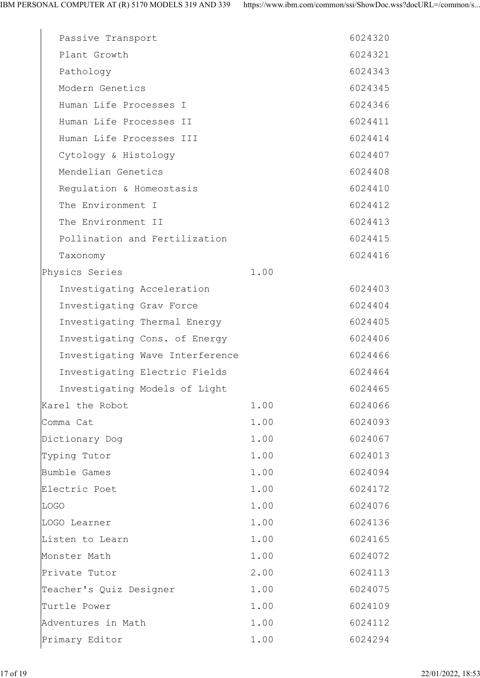| Passive Transport               |      | 6024320 |  |
|---------------------------------|------|---------|--|
| Plant Growth                    |      | 6024321 |  |
| Pathology                       |      | 6024343 |  |
| Modern Genetics                 |      | 6024345 |  |
| Human Life Processes I          |      | 6024346 |  |
| Human Life Processes II         |      | 6024411 |  |
| Human Life Processes III        |      | 6024414 |  |
| Cytology & Histology            |      | 6024407 |  |
| Mendelian Genetics              |      | 6024408 |  |
| Regulation & Homeostasis        |      | 6024410 |  |
| The Environment I               |      | 6024412 |  |
| The Environment II              |      | 6024413 |  |
| Pollination and Fertilization   |      | 6024415 |  |
| Taxonomy                        |      | 6024416 |  |
| Physics Series                  | 1.00 |         |  |
| Investigating Acceleration      |      | 6024403 |  |
| Investigating Grav Force        |      | 6024404 |  |
| Investigating Thermal Energy    |      | 6024405 |  |
| Investigating Cons. of Energy   |      | 6024406 |  |
| Investigating Wave Interference |      | 6024466 |  |
| Investigating Electric Fields   |      | 6024464 |  |
| Investigating Models of Light   |      | 6024465 |  |
| Karel the Robot                 | 1.00 | 6024066 |  |
| Comma Cat                       | 1.00 | 6024093 |  |
| Dictionary Dog                  | 1.00 | 6024067 |  |
| Typing Tutor                    | 1.00 | 6024013 |  |
| Bumble Games                    | 1.00 | 6024094 |  |
| Electric Poet                   | 1.00 | 6024172 |  |
| LOGO                            | 1.00 | 6024076 |  |
| LOGO Learner                    | 1.00 | 6024136 |  |
| Listen to Learn                 | 1.00 | 6024165 |  |
| Monster Math                    | 1.00 | 6024072 |  |
| Private Tutor                   | 2.00 | 6024113 |  |
| Teacher's Quiz Designer         | 1.00 | 6024075 |  |
| Turtle Power                    | 1.00 | 6024109 |  |
| Adventures in Math              | 1.00 | 6024112 |  |
| Primary Editor                  | 1.00 | 6024294 |  |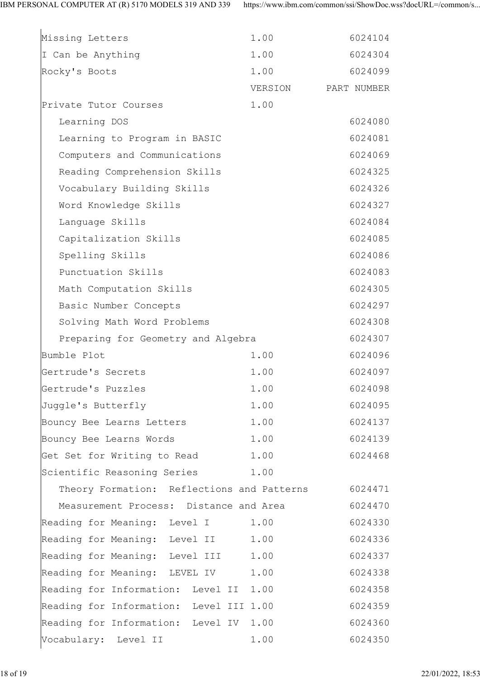| Missing Letters                                    | 1.00    | 6024104     |  |
|----------------------------------------------------|---------|-------------|--|
| I Can be Anything                                  | 1.00    | 6024304     |  |
| Rocky's Boots                                      | 1.00    | 6024099     |  |
|                                                    | VERSION | PART NUMBER |  |
| Private Tutor Courses                              | 1.00    |             |  |
| Learning DOS                                       |         | 6024080     |  |
| Learning to Program in BASIC                       |         | 6024081     |  |
| Computers and Communications                       |         | 6024069     |  |
| Reading Comprehension Skills                       |         | 6024325     |  |
| Vocabulary Building Skills                         |         | 6024326     |  |
| Word Knowledge Skills                              |         | 6024327     |  |
| Language Skills                                    |         | 6024084     |  |
| Capitalization Skills                              |         | 6024085     |  |
| Spelling Skills                                    |         | 6024086     |  |
| Punctuation Skills                                 |         | 6024083     |  |
| Math Computation Skills                            |         | 6024305     |  |
| Basic Number Concepts                              |         | 6024297     |  |
| Solving Math Word Problems                         |         | 6024308     |  |
| Preparing for Geometry and Algebra                 |         | 6024307     |  |
| Bumble Plot                                        | 1.00    | 6024096     |  |
| Gertrude's Secrets                                 | 1.00    | 6024097     |  |
| Gertrude's Puzzles                                 | 1.00    | 6024098     |  |
| Juggle's Butterfly                                 | 1.00    | 6024095     |  |
| Bouncy Bee Learns Letters 1.00                     |         | 6024137     |  |
| Bouncy Bee Learns Words 1.00                       |         | 6024139     |  |
| Get Set for Writing to Read 1.00                   |         | 6024468     |  |
| Scientific Reasoning Series 1.00                   |         |             |  |
| Theory Formation: Reflections and Patterns 6024471 |         |             |  |
| Measurement Process: Distance and Area             |         | 6024470     |  |
| Reading for Meaning: Level I 1.00                  |         | 6024330     |  |
| Reading for Meaning: Level II 1.00                 |         | 6024336     |  |
| Reading for Meaning: Level III 1.00                |         | 6024337     |  |
| Reading for Meaning: LEVEL IV 1.00                 |         | 6024338     |  |
| Reading for Information: Level II 1.00             |         | 6024358     |  |
| Reading for Information: Level III 1.00            |         | 6024359     |  |
| Reading for Information: Level IV 1.00             |         | 6024360     |  |
| Vocabulary: Level II                               | 1.00    | 6024350     |  |
|                                                    |         |             |  |